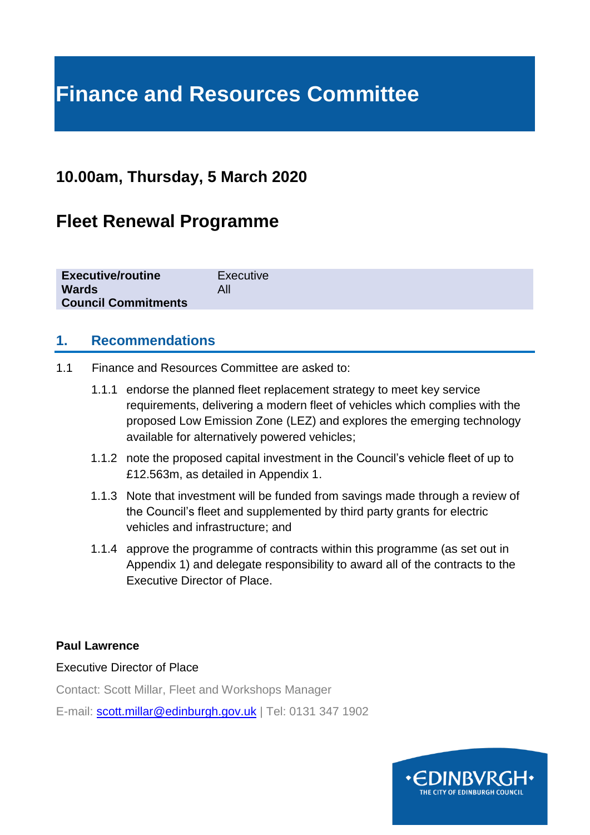# **Finance and Resources Committee**

# **10.00am, Thursday, 5 March 2020**

# **Fleet Renewal Programme**

| <b>Executive/routine</b>   | Executive |
|----------------------------|-----------|
| <b>Wards</b>               | All       |
| <b>Council Commitments</b> |           |
|                            |           |

#### **1. Recommendations**

- 1.1 Finance and Resources Committee are asked to:
	- 1.1.1 endorse the planned fleet replacement strategy to meet key service requirements, delivering a modern fleet of vehicles which complies with the proposed Low Emission Zone (LEZ) and explores the emerging technology available for alternatively powered vehicles;
	- 1.1.2 note the proposed capital investment in the Council's vehicle fleet of up to £12.563m, as detailed in Appendix 1.
	- 1.1.3 Note that investment will be funded from savings made through a review of the Council's fleet and supplemented by third party grants for electric vehicles and infrastructure; and
	- 1.1.4 approve the programme of contracts within this programme (as set out in Appendix 1) and delegate responsibility to award all of the contracts to the Executive Director of Place.

#### **Paul Lawrence**

#### Executive Director of Place

Contact: Scott Millar, Fleet and Workshops Manager

E-mail: [scott.millar@edinburgh.gov.uk](mailto:scott.millar@edinburgh.gov.uk) | Tel: 0131 347 1902

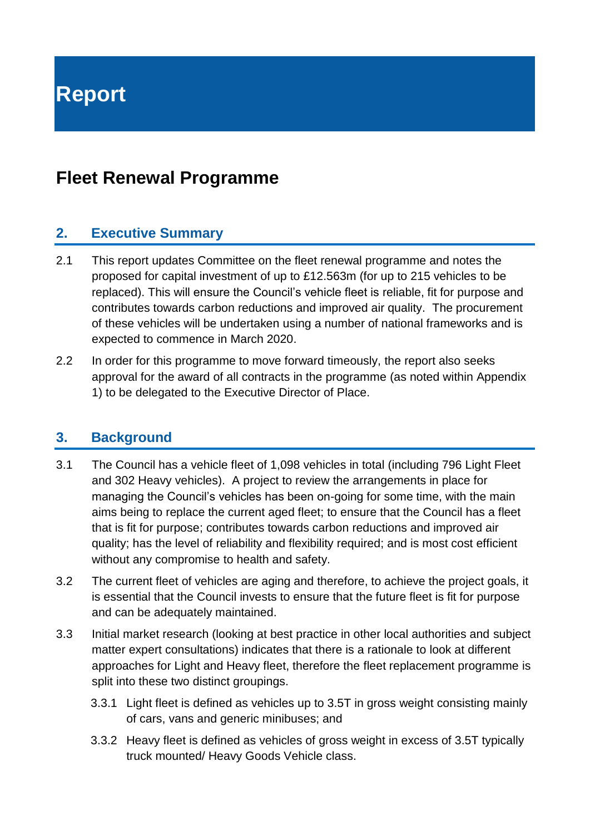# **Fleet Renewal Programme**

### **2. Executive Summary**

- 2.1 This report updates Committee on the fleet renewal programme and notes the proposed for capital investment of up to £12.563m (for up to 215 vehicles to be replaced). This will ensure the Council's vehicle fleet is reliable, fit for purpose and contributes towards carbon reductions and improved air quality. The procurement of these vehicles will be undertaken using a number of national frameworks and is expected to commence in March 2020.
- 2.2 In order for this programme to move forward timeously, the report also seeks approval for the award of all contracts in the programme (as noted within Appendix 1) to be delegated to the Executive Director of Place.

### **3. Background**

- 3.1 The Council has a vehicle fleet of 1,098 vehicles in total (including 796 Light Fleet and 302 Heavy vehicles). A project to review the arrangements in place for managing the Council's vehicles has been on-going for some time, with the main aims being to replace the current aged fleet; to ensure that the Council has a fleet that is fit for purpose; contributes towards carbon reductions and improved air quality; has the level of reliability and flexibility required; and is most cost efficient without any compromise to health and safety.
- 3.2 The current fleet of vehicles are aging and therefore, to achieve the project goals, it is essential that the Council invests to ensure that the future fleet is fit for purpose and can be adequately maintained.
- 3.3 Initial market research (looking at best practice in other local authorities and subject matter expert consultations) indicates that there is a rationale to look at different approaches for Light and Heavy fleet, therefore the fleet replacement programme is split into these two distinct groupings.
	- 3.3.1 Light fleet is defined as vehicles up to 3.5T in gross weight consisting mainly of cars, vans and generic minibuses; and
	- 3.3.2 Heavy fleet is defined as vehicles of gross weight in excess of 3.5T typically truck mounted/ Heavy Goods Vehicle class.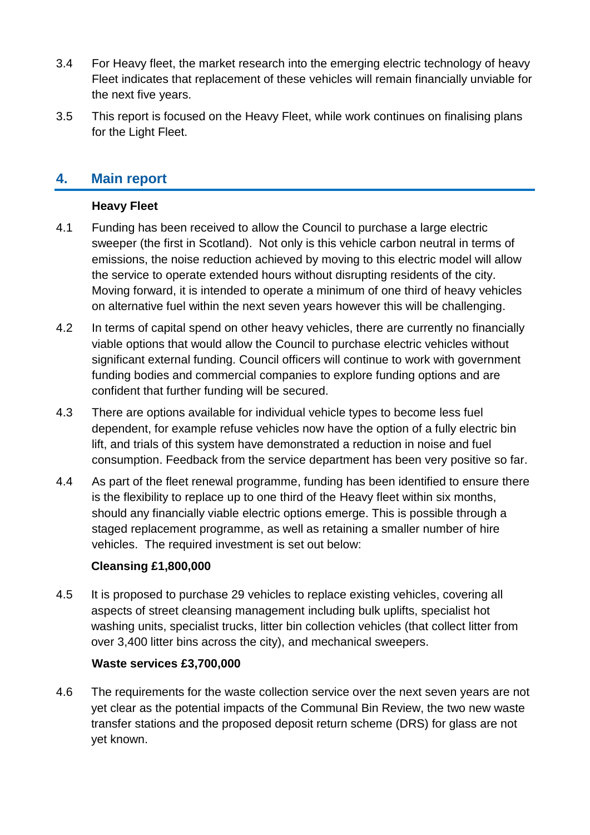- 3.4 For Heavy fleet, the market research into the emerging electric technology of heavy Fleet indicates that replacement of these vehicles will remain financially unviable for the next five years.
- 3.5 This report is focused on the Heavy Fleet, while work continues on finalising plans for the Light Fleet.

### **4. Main report**

#### **Heavy Fleet**

- 4.1 Funding has been received to allow the Council to purchase a large electric sweeper (the first in Scotland). Not only is this vehicle carbon neutral in terms of emissions, the noise reduction achieved by moving to this electric model will allow the service to operate extended hours without disrupting residents of the city. Moving forward, it is intended to operate a minimum of one third of heavy vehicles on alternative fuel within the next seven years however this will be challenging.
- 4.2 In terms of capital spend on other heavy vehicles, there are currently no financially viable options that would allow the Council to purchase electric vehicles without significant external funding. Council officers will continue to work with government funding bodies and commercial companies to explore funding options and are confident that further funding will be secured.
- 4.3 There are options available for individual vehicle types to become less fuel dependent, for example refuse vehicles now have the option of a fully electric bin lift, and trials of this system have demonstrated a reduction in noise and fuel consumption. Feedback from the service department has been very positive so far.
- 4.4 As part of the fleet renewal programme, funding has been identified to ensure there is the flexibility to replace up to one third of the Heavy fleet within six months, should any financially viable electric options emerge. This is possible through a staged replacement programme, as well as retaining a smaller number of hire vehicles. The required investment is set out below:

#### **Cleansing £1,800,000**

4.5 It is proposed to purchase 29 vehicles to replace existing vehicles, covering all aspects of street cleansing management including bulk uplifts, specialist hot washing units, specialist trucks, litter bin collection vehicles (that collect litter from over 3,400 litter bins across the city), and mechanical sweepers.

#### **Waste services £3,700,000**

4.6 The requirements for the waste collection service over the next seven years are not yet clear as the potential impacts of the Communal Bin Review, the two new waste transfer stations and the proposed deposit return scheme (DRS) for glass are not yet known.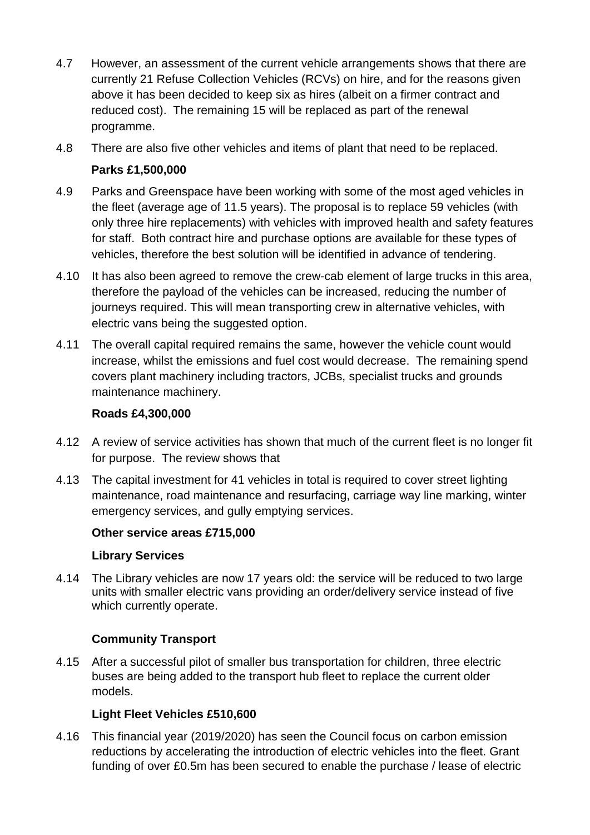- 4.7 However, an assessment of the current vehicle arrangements shows that there are currently 21 Refuse Collection Vehicles (RCVs) on hire, and for the reasons given above it has been decided to keep six as hires (albeit on a firmer contract and reduced cost). The remaining 15 will be replaced as part of the renewal programme.
- 4.8 There are also five other vehicles and items of plant that need to be replaced.

#### **Parks £1,500,000**

- 4.9 Parks and Greenspace have been working with some of the most aged vehicles in the fleet (average age of 11.5 years). The proposal is to replace 59 vehicles (with only three hire replacements) with vehicles with improved health and safety features for staff. Both contract hire and purchase options are available for these types of vehicles, therefore the best solution will be identified in advance of tendering.
- 4.10 It has also been agreed to remove the crew-cab element of large trucks in this area, therefore the payload of the vehicles can be increased, reducing the number of journeys required. This will mean transporting crew in alternative vehicles, with electric vans being the suggested option.
- 4.11 The overall capital required remains the same, however the vehicle count would increase, whilst the emissions and fuel cost would decrease. The remaining spend covers plant machinery including tractors, JCBs, specialist trucks and grounds maintenance machinery.

#### **Roads £4,300,000**

- 4.12 A review of service activities has shown that much of the current fleet is no longer fit for purpose. The review shows that
- 4.13 The capital investment for 41 vehicles in total is required to cover street lighting maintenance, road maintenance and resurfacing, carriage way line marking, winter emergency services, and gully emptying services.

#### **Other service areas £715,000**

#### **Library Services**

4.14 The Library vehicles are now 17 years old: the service will be reduced to two large units with smaller electric vans providing an order/delivery service instead of five which currently operate.

#### **Community Transport**

4.15 After a successful pilot of smaller bus transportation for children, three electric buses are being added to the transport hub fleet to replace the current older models.

#### **Light Fleet Vehicles £510,600**

4.16 This financial year (2019/2020) has seen the Council focus on carbon emission reductions by accelerating the introduction of electric vehicles into the fleet. Grant funding of over £0.5m has been secured to enable the purchase / lease of electric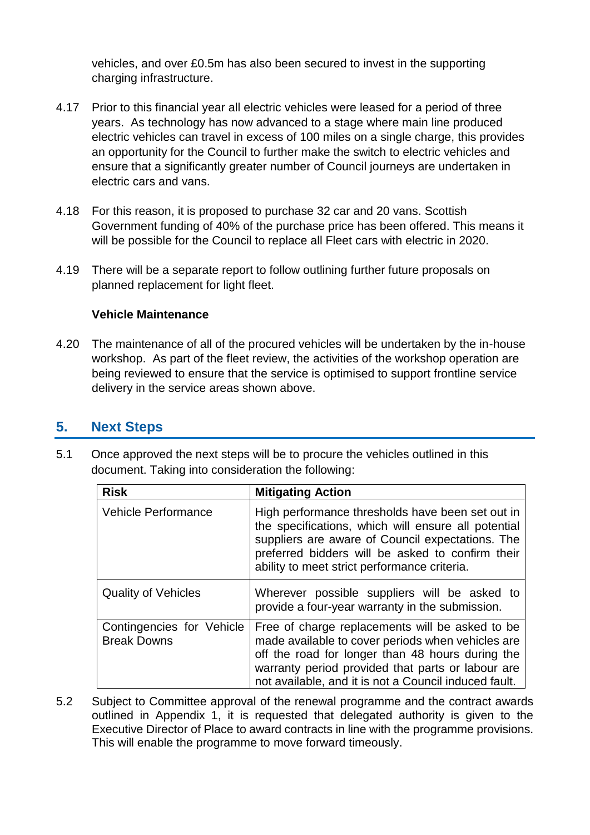vehicles, and over £0.5m has also been secured to invest in the supporting charging infrastructure.

- 4.17 Prior to this financial year all electric vehicles were leased for a period of three years. As technology has now advanced to a stage where main line produced electric vehicles can travel in excess of 100 miles on a single charge, this provides an opportunity for the Council to further make the switch to electric vehicles and ensure that a significantly greater number of Council journeys are undertaken in electric cars and vans.
- 4.18 For this reason, it is proposed to purchase 32 car and 20 vans. Scottish Government funding of 40% of the purchase price has been offered. This means it will be possible for the Council to replace all Fleet cars with electric in 2020.
- 4.19 There will be a separate report to follow outlining further future proposals on planned replacement for light fleet.

#### **Vehicle Maintenance**

4.20 The maintenance of all of the procured vehicles will be undertaken by the in-house workshop. As part of the fleet review, the activities of the workshop operation are being reviewed to ensure that the service is optimised to support frontline service delivery in the service areas shown above.

#### **5. Next Steps**

5.1 Once approved the next steps will be to procure the vehicles outlined in this document. Taking into consideration the following:

| <b>Risk</b>                                     | <b>Mitigating Action</b>                                                                                                                                                                                                                                               |
|-------------------------------------------------|------------------------------------------------------------------------------------------------------------------------------------------------------------------------------------------------------------------------------------------------------------------------|
| <b>Vehicle Performance</b>                      | High performance thresholds have been set out in<br>the specifications, which will ensure all potential<br>suppliers are aware of Council expectations. The<br>preferred bidders will be asked to confirm their<br>ability to meet strict performance criteria.        |
| <b>Quality of Vehicles</b>                      | Wherever possible suppliers will be asked to<br>provide a four-year warranty in the submission.                                                                                                                                                                        |
| Contingencies for Vehicle<br><b>Break Downs</b> | Free of charge replacements will be asked to be<br>made available to cover periods when vehicles are<br>off the road for longer than 48 hours during the<br>warranty period provided that parts or labour are<br>not available, and it is not a Council induced fault. |

5.2 Subject to Committee approval of the renewal programme and the contract awards outlined in Appendix 1, it is requested that delegated authority is given to the Executive Director of Place to award contracts in line with the programme provisions. This will enable the programme to move forward timeously.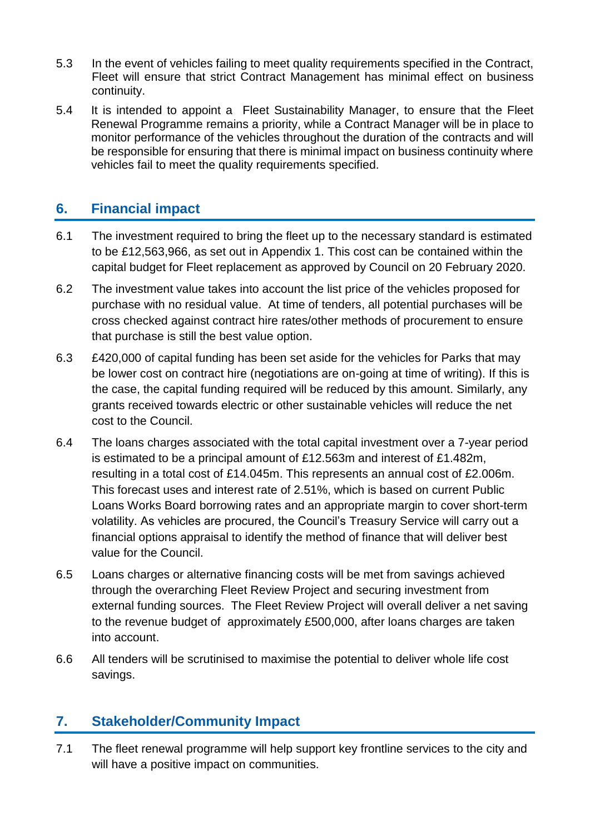- 5.3 In the event of vehicles failing to meet quality requirements specified in the Contract, Fleet will ensure that strict Contract Management has minimal effect on business continuity.
- 5.4 It is intended to appoint a Fleet Sustainability Manager, to ensure that the Fleet Renewal Programme remains a priority, while a Contract Manager will be in place to monitor performance of the vehicles throughout the duration of the contracts and will be responsible for ensuring that there is minimal impact on business continuity where vehicles fail to meet the quality requirements specified.

### **6. Financial impact**

- 6.1 The investment required to bring the fleet up to the necessary standard is estimated to be £12,563,966, as set out in Appendix 1. This cost can be contained within the capital budget for Fleet replacement as approved by Council on 20 February 2020.
- 6.2 The investment value takes into account the list price of the vehicles proposed for purchase with no residual value. At time of tenders, all potential purchases will be cross checked against contract hire rates/other methods of procurement to ensure that purchase is still the best value option.
- 6.3 £420,000 of capital funding has been set aside for the vehicles for Parks that may be lower cost on contract hire (negotiations are on-going at time of writing). If this is the case, the capital funding required will be reduced by this amount. Similarly, any grants received towards electric or other sustainable vehicles will reduce the net cost to the Council.
- 6.4 The loans charges associated with the total capital investment over a 7-year period is estimated to be a principal amount of £12.563m and interest of £1.482m, resulting in a total cost of £14.045m. This represents an annual cost of £2.006m. This forecast uses and interest rate of 2.51%, which is based on current Public Loans Works Board borrowing rates and an appropriate margin to cover short-term volatility. As vehicles are procured, the Council's Treasury Service will carry out a financial options appraisal to identify the method of finance that will deliver best value for the Council.
- 6.5 Loans charges or alternative financing costs will be met from savings achieved through the overarching Fleet Review Project and securing investment from external funding sources. The Fleet Review Project will overall deliver a net saving to the revenue budget of approximately £500,000, after loans charges are taken into account.
- 6.6 All tenders will be scrutinised to maximise the potential to deliver whole life cost savings.

### **7. Stakeholder/Community Impact**

7.1 The fleet renewal programme will help support key frontline services to the city and will have a positive impact on communities.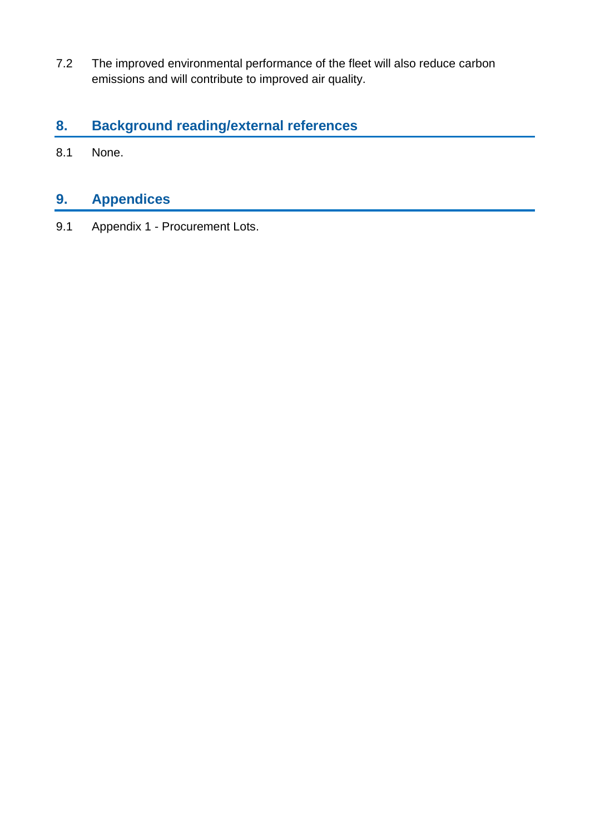7.2 The improved environmental performance of the fleet will also reduce carbon emissions and will contribute to improved air quality.

# **8. Background reading/external references**

8.1 None.

# **9. Appendices**

9.1 Appendix 1 - Procurement Lots.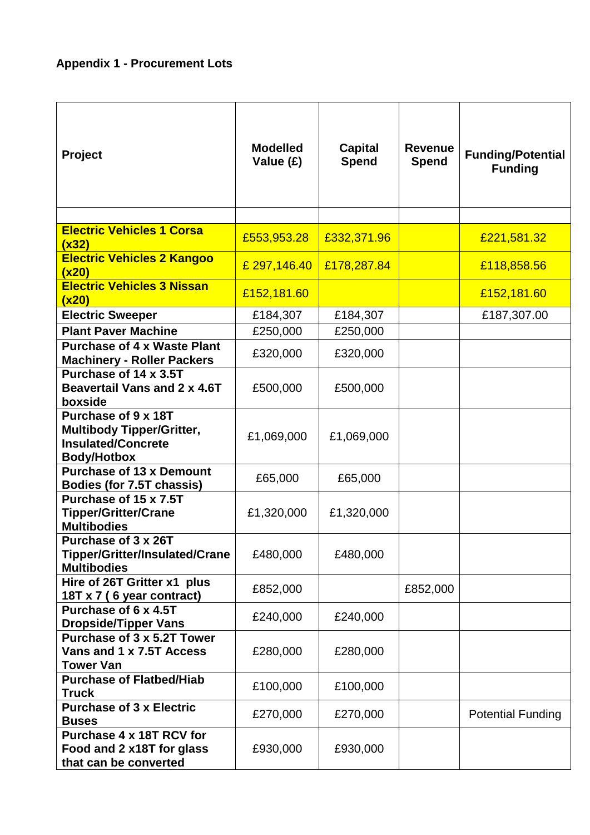# **Appendix 1 - Procurement Lots**

| Project                                                                                                    | <b>Modelled</b><br>Value (£) | <b>Capital</b><br><b>Spend</b> | <b>Revenue</b><br><b>Spend</b> | <b>Funding/Potential</b><br><b>Funding</b> |
|------------------------------------------------------------------------------------------------------------|------------------------------|--------------------------------|--------------------------------|--------------------------------------------|
|                                                                                                            |                              |                                |                                |                                            |
| <b>Electric Vehicles 1 Corsa</b><br>(x32)                                                                  | £553,953.28                  | £332,371.96                    |                                | £221,581.32                                |
| <b>Electric Vehicles 2 Kangoo</b><br>(x20)                                                                 | £ 297,146.40                 | £178,287.84                    |                                | £118,858.56                                |
| <b>Electric Vehicles 3 Nissan</b><br>(x20)                                                                 | £152,181.60                  |                                |                                | £152,181.60                                |
| <b>Electric Sweeper</b>                                                                                    | £184,307                     | £184,307                       |                                | £187,307.00                                |
| <b>Plant Paver Machine</b>                                                                                 | £250,000                     | £250,000                       |                                |                                            |
| <b>Purchase of 4 x Waste Plant</b><br><b>Machinery - Roller Packers</b>                                    | £320,000                     | £320,000                       |                                |                                            |
| Purchase of 14 x 3.5T<br>Beavertail Vans and 2 x 4.6T<br>boxside                                           | £500,000                     | £500,000                       |                                |                                            |
| Purchase of 9 x 18T<br><b>Multibody Tipper/Gritter,</b><br><b>Insulated/Concrete</b><br><b>Body/Hotbox</b> | £1,069,000                   | £1,069,000                     |                                |                                            |
| <b>Purchase of 13 x Demount</b><br>Bodies (for 7.5T chassis)                                               | £65,000                      | £65,000                        |                                |                                            |
| Purchase of 15 x 7.5T<br><b>Tipper/Gritter/Crane</b><br><b>Multibodies</b>                                 | £1,320,000                   | £1,320,000                     |                                |                                            |
| Purchase of 3 x 26T<br><b>Tipper/Gritter/Insulated/Crane</b><br><b>Multibodies</b>                         | £480,000                     | £480,000                       |                                |                                            |
| Hire of 26T Gritter x1 plus<br>18T x 7 (6 year contract)                                                   | £852,000                     |                                | £852,000                       |                                            |
| Purchase of 6 x 4.5T<br><b>Dropside/Tipper Vans</b>                                                        | £240,000                     | £240,000                       |                                |                                            |
| Purchase of 3 x 5.2T Tower<br>Vans and 1 x 7.5T Access<br><b>Tower Van</b>                                 | £280,000                     | £280,000                       |                                |                                            |
| <b>Purchase of Flatbed/Hiab</b><br><b>Truck</b>                                                            | £100,000                     | £100,000                       |                                |                                            |
| <b>Purchase of 3 x Electric</b><br><b>Buses</b>                                                            | £270,000                     | £270,000                       |                                | <b>Potential Funding</b>                   |
| Purchase 4 x 18T RCV for<br>Food and 2 x18T for glass<br>that can be converted                             | £930,000                     | £930,000                       |                                |                                            |